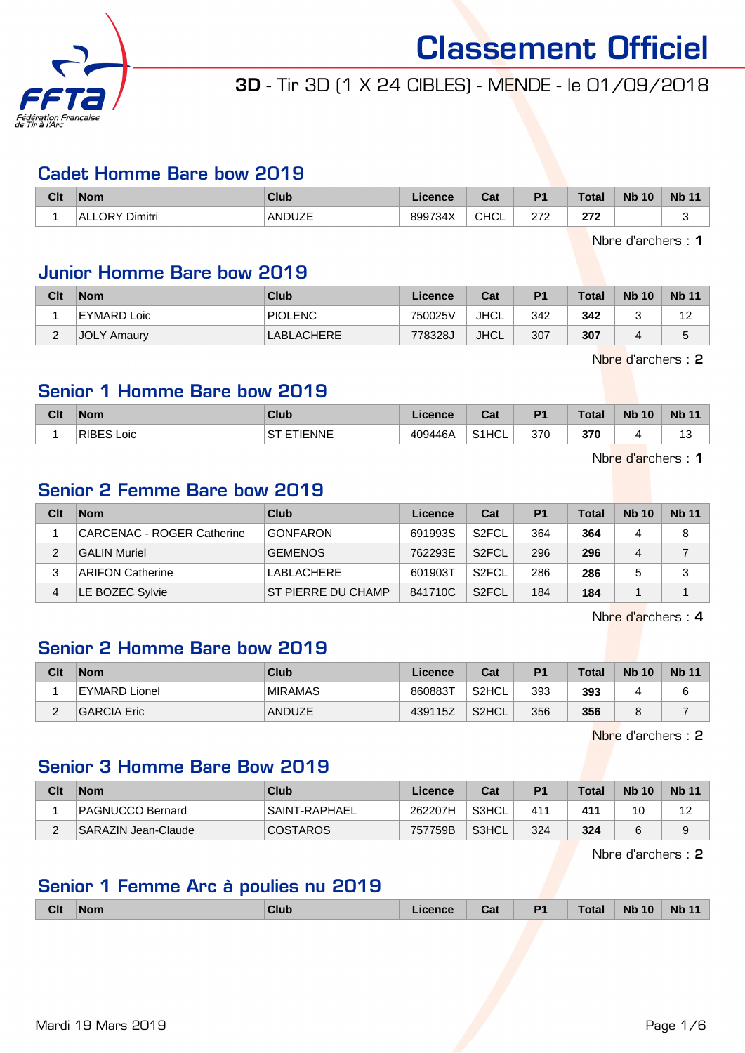

### 3D - Tir 3D (1 X 24 CIBLES) - MENDE - le 01/09/2018

#### Cadet Homme Bare bow 2019

| Clt | <b>Nom</b>               | <b>Club</b> | icence          | ่ ี่ ี่ ่า ่<br>uai | D <sub>1</sub> | <b>Total</b> | <b>N<sub>b</sub></b><br>$\overline{10}$ | <b>Nb</b> |
|-----|--------------------------|-------------|-----------------|---------------------|----------------|--------------|-----------------------------------------|-----------|
|     | <b>ALLORY</b><br>Dimitri | ANDUZE      | 899734X<br>′34X | <b>CHCL</b>         | היה            | היה<br>LIL   |                                         |           |

Nbre d'archers : 1

### Junior Homme Bare bow 2019

| Clt      | <b>Nom</b>         | Club       | Licence | Cat         | P <sub>1</sub> | <b>Total</b> | <b>Nb 10</b> | <b>Nb 11</b> |
|----------|--------------------|------------|---------|-------------|----------------|--------------|--------------|--------------|
|          | EYMARD Loic        | PIOLENC    | 750025V | JHCL        | 342            | 342          |              | 12           |
| <u>_</u> | <b>JOLY Amaury</b> | LABLACHERE | 778328J | <b>JHCL</b> | 307            | 307          |              | đ            |

Nbre d'archers : 2

#### Senior 1 Homme Bare bow 2019

| Clt | <b>Nom</b>           | Club         | .icence | $\sim$<br>val            | P <sub>1</sub> | <b>Total</b> | <b>Nb 10</b> | <b>Nb 11</b> |
|-----|----------------------|--------------|---------|--------------------------|----------------|--------------|--------------|--------------|
|     | <b>RIBES</b><br>Loic | TIENNE<br>cт | 409446A | 0.41<br><sup>1</sup> HCL | 370            | 370          |              | ں ا          |

Nbre d'archers : 1

#### Senior 2 Femme Bare bow 2019

| Clt | <b>Nom</b>                 | Club               | Licence | Cat                | P <sub>1</sub> | <b>Total</b> | <b>Nb 10</b> | <b>Nb 11</b> |
|-----|----------------------------|--------------------|---------|--------------------|----------------|--------------|--------------|--------------|
|     | CARCENAC - ROGER Catherine | <b>GONFARON</b>    | 691993S | S <sub>2</sub> FCL | 364            | 364          |              | 8            |
|     | <b>GALIN Muriel</b>        | <b>GEMENOS</b>     | 762293E | S <sub>2</sub> FCL | 296            | 296          | 4            |              |
|     | <b>ARIFON Catherine</b>    | LABLACHERE         | 601903T | S <sub>2</sub> FCL | 286            | 286          |              | 3            |
| 4   | LE BOZEC Sylvie            | ST PIERRE DU CHAMP | 841710C | S <sub>2</sub> FCL | 184            | 184          |              |              |

Nbre d'archers : 4

#### Senior 2 Homme Bare bow 2019

| Clt      | <b>Nom</b>         | Club           | <b>Licence</b> | Cat                | P <sub>1</sub> | <b>Total</b> | <b>Nb 10</b> | <b>Nb 11</b> |
|----------|--------------------|----------------|----------------|--------------------|----------------|--------------|--------------|--------------|
|          | EYMARD Lionel      | <b>MIRAMAS</b> | 860883T        | S <sub>2</sub> HCL | 393            | 393          |              | ĥ            |
| <u>.</u> | <b>GARCIA Eric</b> | <b>ANDUZE</b>  | 439115Z        | S <sub>2</sub> HCL | 356            | 356          | ບ            |              |

Nbre d'archers : 2

#### Senior 3 Homme Bare Bow 2019

| Clt | <b>Nom</b>          | Club            | Licence | Cat   | P <sub>1</sub>  | <b>Total</b> | <b>Nb 10</b> | <b>Nb 11</b>       |
|-----|---------------------|-----------------|---------|-------|-----------------|--------------|--------------|--------------------|
|     | PAGNUCCO Bernard    | SAINT-RAPHAEL   | 262207H | S3HCL | 41 <sup>4</sup> | 411          | 10           | $1^{\circ}$<br>1 Z |
| -   | SARAZIN Jean-Claude | <b>COSTAROS</b> | 757759B | S3HCL | 324             | 324          |              | 9                  |

Nbre d'archers : 2

#### Senior 1 Femme Arc à poulies nu 2019

| D <sub>1</sub><br><b>Clt</b><br>Club<br><b>Nom</b><br>icence<br>Cat | Total<br><b>N<sub>b</sub></b><br>10 | <b>Nb</b> |
|---------------------------------------------------------------------|-------------------------------------|-----------|
|---------------------------------------------------------------------|-------------------------------------|-----------|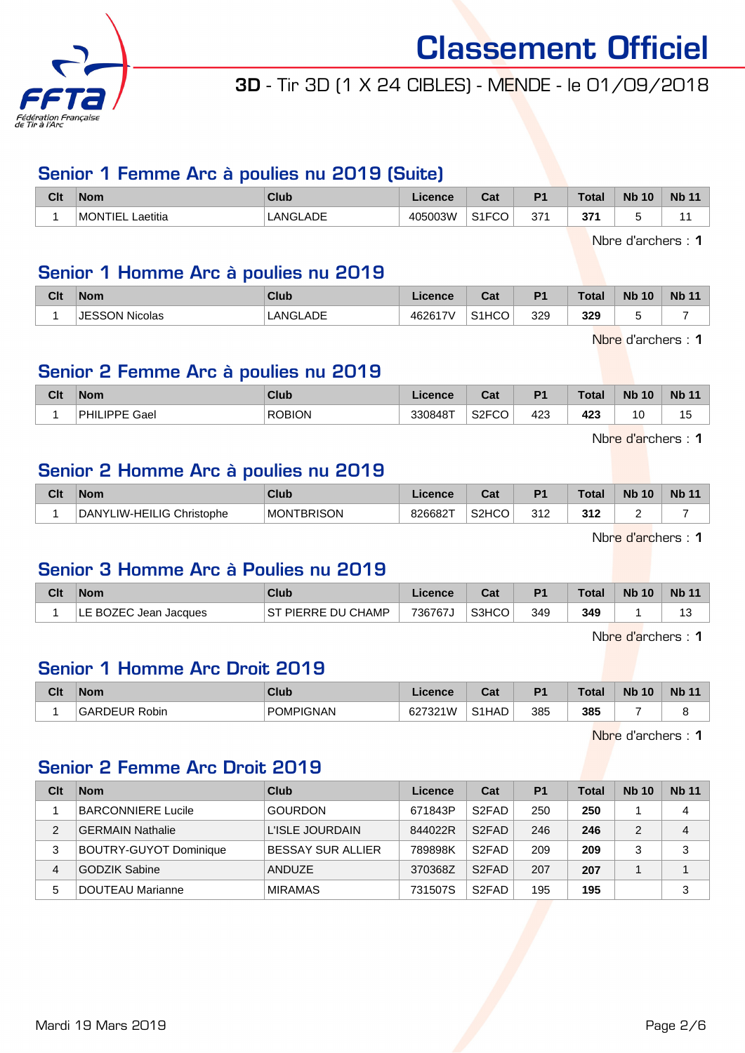

### 3D - Tir 3D (1 X 24 CIBLES) - MENDE - le 01/09/2018

#### Senior 1 Femme Arc à poulies nu 2019 (Suite)

| Clt | <b>Nom</b>            | <b>Club</b>    | conce<br>ence | r.,<br>ual | D <sub>1</sub> | $T_{\rm abs}$<br>Uldi | <b>Nb</b><br>10 | <b>Nb</b> |
|-----|-----------------------|----------------|---------------|------------|----------------|-----------------------|-----------------|-----------|
|     | MONTIEL L<br>_aetitia | .ADE<br>LANGL/ | 405003W       | 0.150<br>. | $\sim$<br>ِ ب  | 67.<br>o,             |                 |           |

Nbre d'archers : 1

#### Senior 1 Homme Arc à poulies nu 2019

| Clt | <b>Nom</b>     | <b>Club</b> | Licence | $R_{\rm{orb}}$<br>val | D <sub>1</sub> | <b>Total</b> | <b>N<sub>b</sub></b><br>10 | <b>Nb 11</b> |
|-----|----------------|-------------|---------|-----------------------|----------------|--------------|----------------------------|--------------|
|     | JESSON Nicolas | LANGLADE    | 462617V | S <sub>1</sub> HCO    | 329            | 329          |                            |              |

Nbre d'archers : 1

#### Senior 2 Femme Arc à poulies nu 2019

| Clt | <b>Nom</b>            | <b>Club</b>   | nonor<br>чпсе | $\sim$<br>val        | D <sub>4</sub> | <b>Total</b> | <b>Nb</b><br>10 | <b>Nb</b> |
|-----|-----------------------|---------------|---------------|----------------------|----------------|--------------|-----------------|-----------|
|     | IDDE.<br>PHIL<br>Gael | <b>ROBION</b> | 330848T       | $\sim$<br>اےت<br>. ٻ | 423            | 423<br>__    | 10              | ں         |

Nbre d'archers : 1

#### Senior 2 Homme Arc à poulies nu 2019

| Clt | <b>Nom</b>                | Club              | <b>Licence</b> | <b>Cost</b><br>val | D <sub>1</sub>       | <b>Total</b>     | <b>Nb</b><br>10 | <b>Nb 11</b> |
|-----|---------------------------|-------------------|----------------|--------------------|----------------------|------------------|-----------------|--------------|
|     | DANYLIW-HEILIG Christophe | <b>MONTBRISON</b> | 826682T        | S <sub>2</sub> HCO | 312<br>$\sim$ $\sim$ | ?12<br>JIZ<br>__ | -               |              |

Nbre d'archers : 1

#### Senior 3 Homme Arc à Poulies nu 2019

| Clt | <b>Nom</b>                 | Club                | Licence | Cat   | P <sub>1</sub> | Total <sub>z</sub> | <b>Nb 10</b> | <b>Nb 11</b> |
|-----|----------------------------|---------------------|---------|-------|----------------|--------------------|--------------|--------------|
|     | LE BOZEC Jean Jacques<br>ᄕ | IST PIERRE DU CHAMP | 736767J | S3HCO | 349            | 349                |              | ت ا          |

Nbre d'archers : 1

#### Senior 1 Homme Arc Droit 2019

| Clt | <b>Nom</b>          | Club             | Licence | Col<br>val         | D <sup>4</sup> | <b>Total</b> | <b>Nb</b><br>10 | <b>Nb</b> |
|-----|---------------------|------------------|---------|--------------------|----------------|--------------|-----------------|-----------|
|     | GARDEI<br>EUR Robin | <b>POMPIGNAN</b> | 627321W | S <sub>1</sub> HAD | 385            | 385          |                 |           |

Nbre d'archers : 1

#### Senior 2 Femme Arc Droit 2019

| Clt           | <b>Nom</b>                    | Club              | Licence | Cat                | P <sub>1</sub> | <b>Total</b> | <b>Nb 10</b> | <b>Nb 11</b> |
|---------------|-------------------------------|-------------------|---------|--------------------|----------------|--------------|--------------|--------------|
|               | <b>BARCONNIERE Lucile</b>     | <b>GOURDON</b>    | 671843P | S <sub>2</sub> FAD | 250            | 250          |              | 4            |
| $\mathcal{P}$ | <b>GERMAIN Nathalie</b>       | L'ISLE JOURDAIN   | 844022R | S <sub>2</sub> FAD | 246            | 246          |              | 4            |
| 3             | <b>BOUTRY-GUYOT Dominique</b> | BESSAY SUR ALLIER | 789898K | S <sub>2</sub> FAD | 209            | 209          |              | 3            |
| 4             | <b>GODZIK Sabine</b>          | ANDUZE            | 370368Z | S <sub>2</sub> FAD | 207            | 207          |              |              |
| 5             | <b>DOUTEAU Marianne</b>       | <b>MIRAMAS</b>    | 731507S | S <sub>2</sub> FAD | 195            | 195          |              | 3            |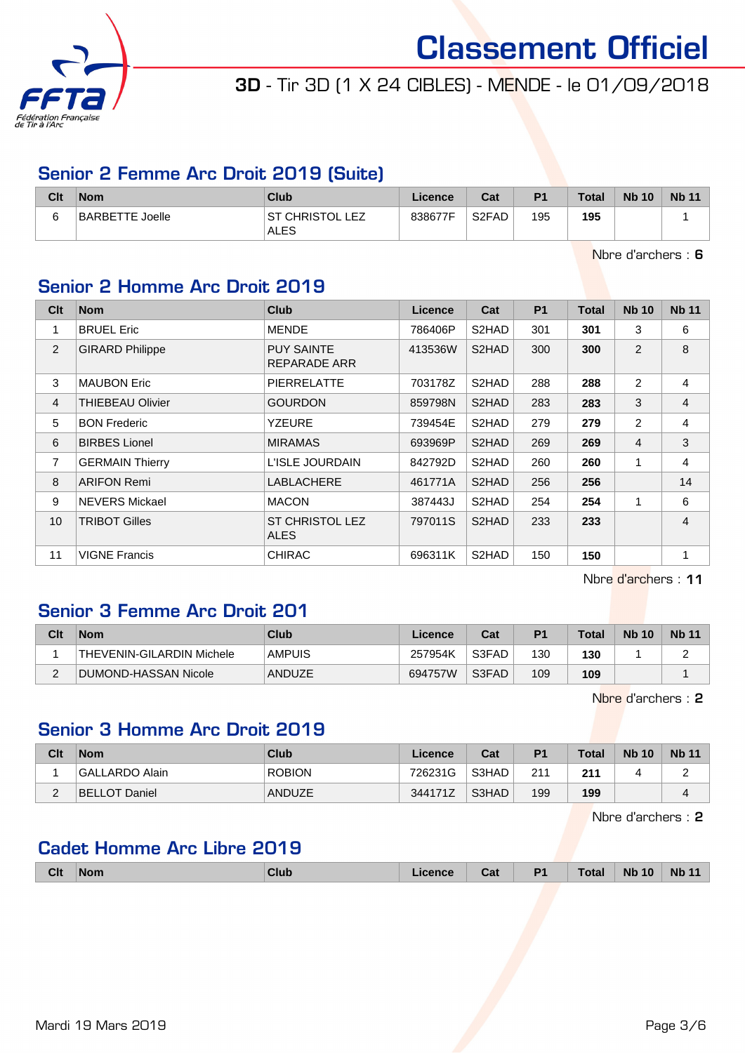

## 3D - Tir 3D (1 X 24 CIBLES) - MENDE - le 01/09/2018

#### Senior 2 Femme Arc Droit 2019 (Suite)

| Clt | $\mathsf{Nom}$         | <b>Club</b>                  | Licence | Cat                | P <sub>1</sub> | <b>Total</b> | <b>Nb 10</b> | <b>Nb 11</b> |
|-----|------------------------|------------------------------|---------|--------------------|----------------|--------------|--------------|--------------|
| 6   | <b>BARBETTE Joelle</b> | ' CHRISTOL LEZ<br>SТ<br>ALES | 838677F | S <sub>2</sub> FAD | 195            | 195          |              |              |

Nbre d'archers : 6

#### Senior 2 Homme Arc Droit 2019

| C <sub>it</sub> | <b>Nom</b>             | Club                                  | Licence | Cat   | <b>P1</b> | <b>Total</b> | <b>Nb 10</b>   | <b>Nb 11</b>   |
|-----------------|------------------------|---------------------------------------|---------|-------|-----------|--------------|----------------|----------------|
| 1               | <b>BRUEL Eric</b>      | <b>MENDE</b>                          | 786406P | S2HAD | 301       | 301          | 3              | 6              |
| 2               | <b>GIRARD Philippe</b> | <b>PUY SAINTE</b><br>REPARADE ARR     | 413536W | S2HAD | 300       | 300          | 2              | 8              |
| 3               | <b>MAUBON Eric</b>     | <b>PIERRELATTE</b>                    | 703178Z | S2HAD | 288       | 288          | 2              | 4              |
| $\overline{4}$  | THIEBEAU Olivier       | <b>GOURDON</b>                        | 859798N | S2HAD | 283       | 283          | 3              | $\overline{4}$ |
| 5               | <b>BON Frederic</b>    | YZEURE                                | 739454E | S2HAD | 279       | 279          | 2              | 4              |
| 6               | <b>BIRBES Lionel</b>   | <b>MIRAMAS</b>                        | 693969P | S2HAD | 269       | 269          | $\overline{4}$ | 3              |
| 7               | <b>GERMAIN Thierry</b> | L'ISLE JOURDAIN                       | 842792D | S2HAD | 260       | 260          | 1              | $\overline{4}$ |
| 8               | <b>ARIFON Remi</b>     | LABLACHERE                            | 461771A | S2HAD | 256       | 256          |                | 14             |
| 9               | <b>NEVERS Mickael</b>  | <b>MACON</b>                          | 387443J | S2HAD | 254       | 254          | 1              | 6              |
| 10              | <b>TRIBOT Gilles</b>   | <b>ST CHRISTOL LEZ</b><br><b>ALES</b> | 797011S | S2HAD | 233       | 233          |                | 4              |
| 11              | <b>VIGNE Francis</b>   | <b>CHIRAC</b>                         | 696311K | S2HAD | 150       | 150          |                | 1              |

Nbre d'archers : 11

#### Senior 3 Femme Arc Droit 201

| Clt | <b>Nom</b>                       | Club          | Licence | Cat   | P <sub>1</sub> | <b>Total</b> | <b>Nb 10</b> | <b>Nb 11</b> |
|-----|----------------------------------|---------------|---------|-------|----------------|--------------|--------------|--------------|
|     | <b>THEVENIN-GILARDIN Michele</b> | <b>AMPUIS</b> | 257954K | S3FAD | 130            | 130          |              |              |
|     | DUMOND-HASSAN Nicole             | ANDUZE        | 694757W | S3FAD | 109            | 109          |              |              |

Nbre d'archers : 2

#### Senior 3 Homme Arc Droit 2019

| Clt | <b>Nom</b>     | Club          | Licence | Cat   | P <sub>1</sub> | Total | <b>Nb 10</b> | <b>Nb 11</b> |
|-----|----------------|---------------|---------|-------|----------------|-------|--------------|--------------|
|     | GALLARDO Alain | <b>ROBION</b> | 726231G | S3HAD | 211            | 211   |              |              |
| -   | BELLOT Daniel  | ANDUZE        | 344171Z | S3HAD | 199            | 199   |              |              |

Nbre d'archers : 2

#### Cadet Homme Arc Libre 2019

| <b>Clt</b> | <b>Nom</b> | Club | <b>licence</b> | <b>TABLE</b><br>ual | P <sub>1</sub> | <b>Total</b> | <b>Nb 10</b> | <b>Nb</b> |
|------------|------------|------|----------------|---------------------|----------------|--------------|--------------|-----------|
|            |            |      |                |                     |                |              |              |           |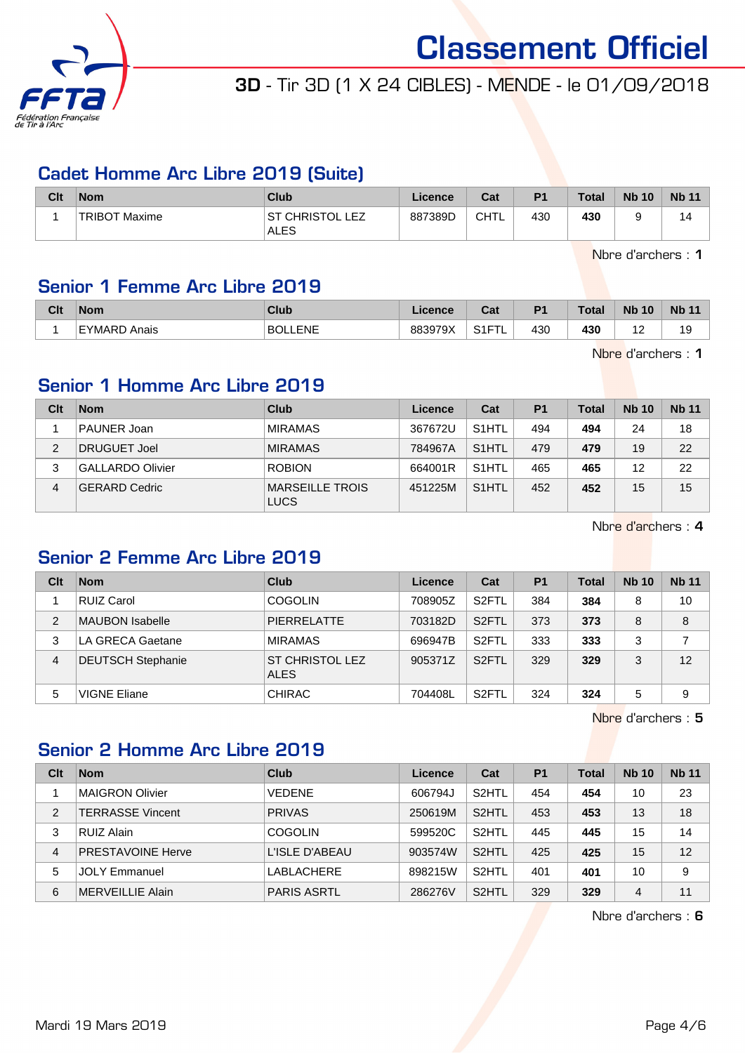

## 3D - Tir 3D (1 X 24 CIBLES) - MENDE - le 01/09/2018

#### Cadet Homme Arc Libre 2019 (Suite)

| Clt | <b>Nom</b>     | <b>Club</b>                     | <b>Licence</b> | Cat  | P <sub>1</sub> | <b>Total</b> | <b>Nb 10</b> | <b>Nb 11</b> |
|-----|----------------|---------------------------------|----------------|------|----------------|--------------|--------------|--------------|
|     | 'TRIBOT Maxime | IST CHRISTOL LEZ<br><b>ALES</b> | 887389D        | CHTL | 430            | 430          |              | 14           |

Nbre d'archers : 1

#### Senior 1 Femme Arc Libre 2019

| Clt | <b>Nom</b>      | Club                              | icence          | ີລະ<br>uai  | D <sub>1</sub> | <b>Total</b> | <b>Nb</b><br>10 | <b>Nb</b>                      |
|-----|-----------------|-----------------------------------|-----------------|-------------|----------------|--------------|-----------------|--------------------------------|
|     | EYMARD<br>Anais | <b>FNF</b><br><b>BOL</b><br>----- | 883979X<br>אש ' | 0.15<br>. . | 430            | 430<br>- -   |                 | 19<br>$\overline{\phantom{a}}$ |

Nbre d'archers : 1

#### Senior 1 Homme Arc Libre 2019

| Clt | <b>Nom</b>              | Club                                  | Licence | Cat                | P <sub>1</sub> | <b>Total</b> | <b>Nb 10</b> | <b>Nb 11</b> |
|-----|-------------------------|---------------------------------------|---------|--------------------|----------------|--------------|--------------|--------------|
|     | PAUNER Joan             | <b>MIRAMAS</b>                        | 367672U | S <sub>1</sub> HTL | 494            | 494          | 24           | 18           |
| 2   | DRUGUET Joel            | <b>MIRAMAS</b>                        | 784967A | S <sub>1</sub> HTL | 479            | 479          | 19           | 22           |
| 3   | <b>GALLARDO Olivier</b> | <b>ROBION</b>                         | 664001R | S <sub>1</sub> HTL | 465            | 465          | 12           | 22           |
| 4   | <b>GERARD Cedric</b>    | <b>MARSEILLE TROIS</b><br><b>LUCS</b> | 451225M | S <sub>1</sub> HTL | 452            | 452          | 15           | 15           |

Nbre d'archers : 4

#### Senior 2 Femme Arc Libre 2019

| Clt | <b>Nom</b>               | Club                                  | Licence | Cat                | P <sub>1</sub> | <b>Total</b> | <b>Nb 10</b> | <b>Nb</b> 11 |
|-----|--------------------------|---------------------------------------|---------|--------------------|----------------|--------------|--------------|--------------|
|     | <b>RUIZ Carol</b>        | <b>COGOLIN</b>                        | 708905Z | S <sub>2</sub> FTL | 384            | 384          | 8            | 10           |
| 2   | <b>MAUBON Isabelle</b>   | <b>PIERRELATTE</b>                    | 703182D | S <sub>2</sub> FTL | 373            | 373          | 8            | 8            |
| 3   | LA GRECA Gaetane         | <b>MIRAMAS</b>                        | 696947B | S <sub>2</sub> FTL | 333            | 333          | 3            | 7            |
| 4   | <b>DEUTSCH Stephanie</b> | <b>ST CHRISTOL LEZ</b><br><b>ALES</b> | 905371Z | S <sub>2</sub> FTL | 329            | 329          | 3            | 12           |
| 5   | <b>VIGNE Eliane</b>      | <b>CHIRAC</b>                         | 704408L | S <sub>2</sub> FTL | 324            | 324          | 5            | 9            |

Nbre d'archers : 5

### Senior 2 Homme Arc Libre 2019

| Clt | <b>Nom</b>               | Club               | Licence | Cat                | P <sub>1</sub> | Total | <b>Nb 10</b> | <b>Nb 11</b> |
|-----|--------------------------|--------------------|---------|--------------------|----------------|-------|--------------|--------------|
|     | <b>MAIGRON Olivier</b>   | <b>VEDENE</b>      | 606794J | S <sub>2</sub> HTL | 454            | 454   | 10           | 23           |
| 2   | <b>TERRASSE Vincent</b>  | <b>PRIVAS</b>      | 250619M | S <sub>2</sub> HTL | 453            | 453   | 13           | 18           |
| 3   | RUIZ Alain               | <b>COGOLIN</b>     | 599520C | S <sub>2</sub> HTL | 445            | 445   | 15           | 14           |
| 4   | <b>PRESTAVOINE Herve</b> | L'ISLE D'ABEAU     | 903574W | S <sub>2</sub> HTL | 425            | 425   | 15           | 12           |
| 5   | <b>JOLY Emmanuel</b>     | LABLACHERE         | 898215W | S <sub>2</sub> HTL | 401            | 401   | 10           | 9            |
| 6   | MERVEILLIE Alain         | <b>PARIS ASRTL</b> | 286276V | S <sub>2</sub> HTL | 329            | 329   | 4            | 11           |

Nbre d'archers : 6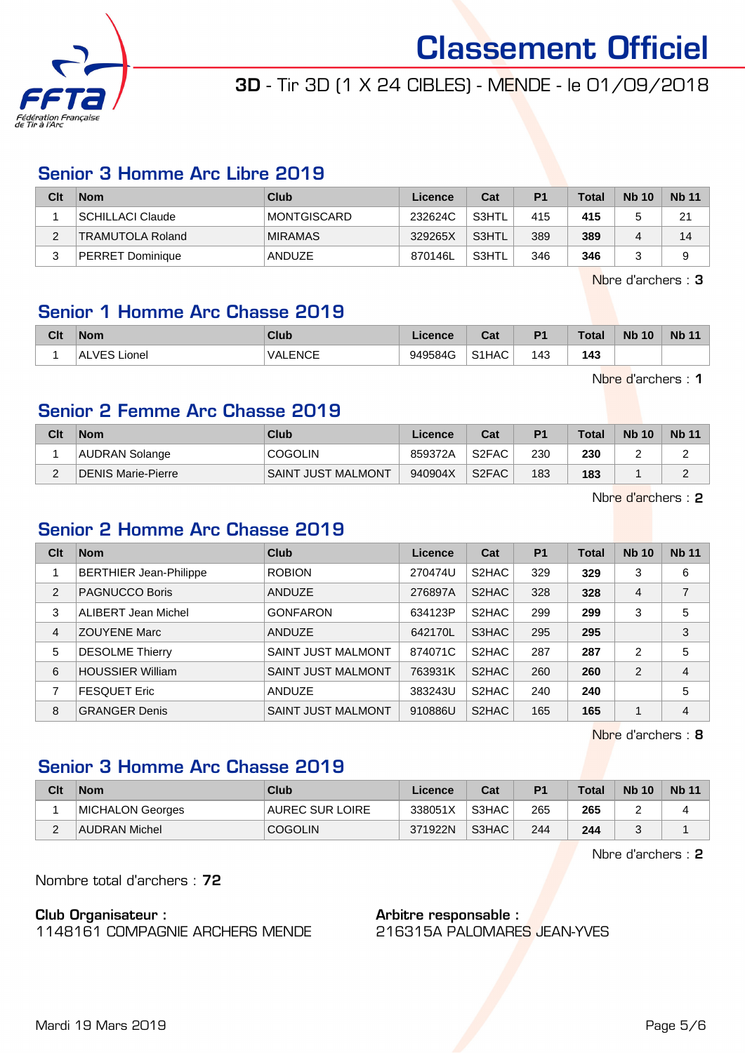

### 3D - Tir 3D (1 X 24 CIBLES) - MENDE - le 01/09/2018

#### Senior 3 Homme Arc Libre 2019

| Clt      | <b>Nom</b>              | Club           | Licence | Cat      | P <sub>1</sub> | <b>Total</b> | <b>Nb 10</b> | <b>Nb 11</b> |
|----------|-------------------------|----------------|---------|----------|----------------|--------------|--------------|--------------|
|          | SCHILLACI Claude        | MONTGISCARD    | 232624C | ` S3HTL_ | 415            | 415          |              | 21           |
| <u>.</u> | <b>TRAMUTOLA Roland</b> | <b>MIRAMAS</b> | 329265X | S3HTL    | 389            | 389          |              | 14           |
| ົ<br>J   | <b>PERRET Dominique</b> | ANDUZE         | 870146L | S3HTL    | 346            | 346          |              | a            |

Nbre d'archers : 3

#### Senior 1 Homme Arc Chasse 2019

| <b>Clt</b> | <b>Nom</b>                  | Club                       | Licence | $R_{\rm{eff}}$<br>ua. | P <sub>1</sub> | <b>Total</b> | <b>Nb</b><br>10 | <b>Nb 11</b> |
|------------|-----------------------------|----------------------------|---------|-----------------------|----------------|--------------|-----------------|--------------|
|            | <b>VES</b><br>Lionel<br>`AL | <b>VALENCE</b><br>________ | 949584G | S1HAC                 | 143<br>$\sim$  | 143          |                 |              |

Nbre d'archers : 1

#### Senior 2 Femme Arc Chasse 2019

| Clt | <b>Nom</b>         | Club               | Licence | Cat                | P <sub>1</sub> | <b>Total</b> | <b>Nb 10</b> | <b>Nb 11</b> |
|-----|--------------------|--------------------|---------|--------------------|----------------|--------------|--------------|--------------|
|     | AUDRAN Solange     | <b>COGOLIN</b>     | 859372A | S <sub>2</sub> FAC | 230            | 230          | -            | -            |
| ⌒   | DENIS Marie-Pierre | SAINT JUST MALMONT | 940904X | S <sub>2</sub> FAC | 183            | 183          |              |              |

Nbre d'archers : 2

#### Senior 2 Homme Arc Chasse 2019

| Clt            | <b>Nom</b>                    | Club                      | Licence | Cat                | <b>P1</b> | <b>Total</b> | <b>Nb 10</b> | <b>Nb 11</b>   |
|----------------|-------------------------------|---------------------------|---------|--------------------|-----------|--------------|--------------|----------------|
|                | <b>BERTHIER Jean-Philippe</b> | <b>ROBION</b>             | 270474U | S2HAC              | 329       | 329          | 3            | 6              |
| 2              | <b>PAGNUCCO Boris</b>         | <b>ANDUZE</b>             | 276897A | S <sub>2</sub> HAC | 328       | 328          | 4            | $\overline{7}$ |
| 3              | <b>ALIBERT Jean Michel</b>    | <b>GONFARON</b>           | 634123P | S2HAC              | 299       | 299          | 3            | 5              |
| $\overline{4}$ | <b>ZOUYENE Marc</b>           | <b>ANDUZE</b>             | 642170L | S3HAC              | 295       | 295          |              | 3              |
| 5              | <b>DESOLME Thierry</b>        | <b>SAINT JUST MALMONT</b> | 874071C | S2HAC              | 287       | 287          | 2            | 5              |
| 6              | <b>HOUSSIER William</b>       | <b>SAINT JUST MALMONT</b> | 763931K | S2HAC              | 260       | 260          | 2            | 4              |
| 7              | <b>FESQUET Eric</b>           | <b>ANDUZE</b>             | 383243U | S2HAC              | 240       | 240          |              | 5              |
| 8              | <b>GRANGER Denis</b>          | <b>SAINT JUST MALMONT</b> | 910886U | S2HAC              | 165       | 165          |              | 4              |

Nbre d'archers : 8

### Senior 3 Homme Arc Chasse 2019

| Clt | <b>Nom</b>       | Club                   | Licence | Cat   | P <sub>1</sub> | <b>Total</b> | <b>Nb 10</b> | <b>Nb 11</b> |
|-----|------------------|------------------------|---------|-------|----------------|--------------|--------------|--------------|
|     | MICHALON Georges | <b>AUREC SUR LOIRE</b> | 338051X | S3HAC | 265            | 265          |              |              |
| -   | AUDRAN Michel    | <b>COGOLIN</b>         | 371922N | S3HAC | 244            | 244          |              |              |

Nbre d'archers : 2

Nombre total d'archers : 72

#### Club Organisateur :

1148161 COMPAGNIE ARCHERS MENDE

#### Arbitre responsable :

216315A PALOMARES JEAN-YVES